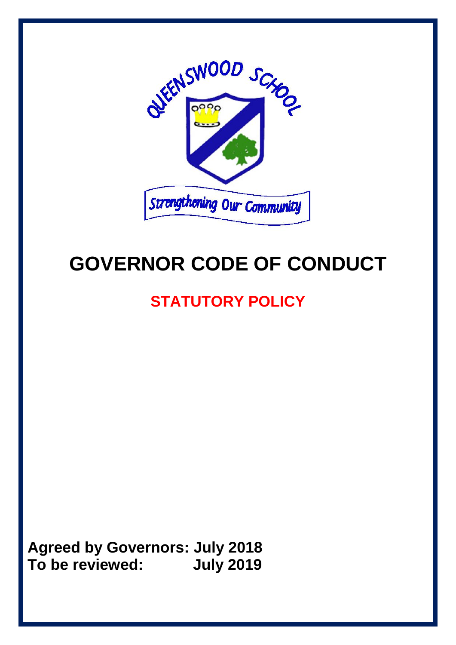

# **GOVERNOR CODE OF CONDUCT**

# **STATUTORY POLICY**

**Agreed by Governors: July 2018 To be reviewed: July 2019**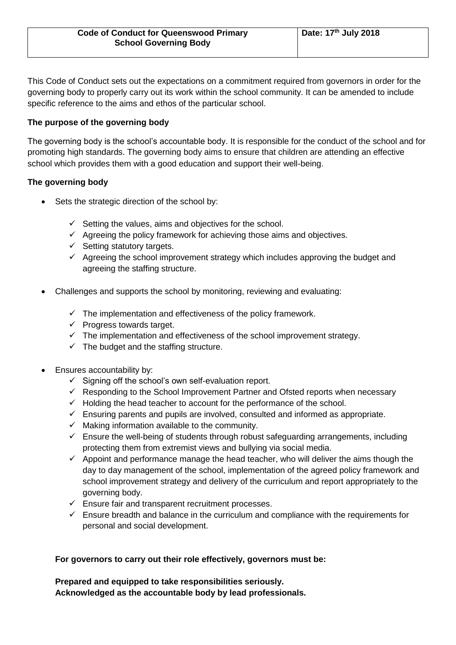This Code of Conduct sets out the expectations on a commitment required from governors in order for the governing body to properly carry out its work within the school community. It can be amended to include specific reference to the aims and ethos of the particular school.

# **The purpose of the governing body**

The governing body is the school's accountable body. It is responsible for the conduct of the school and for promoting high standards. The governing body aims to ensure that children are attending an effective school which provides them with a good education and support their well-being.

# **The governing body**

- Sets the strategic direction of the school by:
	- $\checkmark$  Setting the values, aims and objectives for the school.
	- $\checkmark$  Agreeing the policy framework for achieving those aims and objectives.
	- $\checkmark$  Setting statutory targets.
	- $\checkmark$  Agreeing the school improvement strategy which includes approving the budget and agreeing the staffing structure.
- Challenges and supports the school by monitoring, reviewing and evaluating:
	- $\checkmark$  The implementation and effectiveness of the policy framework.
	- $\checkmark$  Progress towards target.
	- $\checkmark$  The implementation and effectiveness of the school improvement strategy.
	- $\checkmark$  The budget and the staffing structure.
- Ensures accountability by:
	- $\checkmark$  Signing off the school's own self-evaluation report.
	- $\checkmark$  Responding to the School Improvement Partner and Ofsted reports when necessary
	- ✓ Holding the head teacher to account for the performance of the school.
	- $\checkmark$  Ensuring parents and pupils are involved, consulted and informed as appropriate.
	- $\checkmark$  Making information available to the community.
	- $\checkmark$  Ensure the well-being of students through robust safeguarding arrangements, including protecting them from extremist views and bullying via social media.
	- $\checkmark$  Appoint and performance manage the head teacher, who will deliver the aims though the day to day management of the school, implementation of the agreed policy framework and school improvement strategy and delivery of the curriculum and report appropriately to the governing body.
	- ✓ Ensure fair and transparent recruitment processes.
	- $\checkmark$  Ensure breadth and balance in the curriculum and compliance with the requirements for personal and social development.

#### **For governors to carry out their role effectively, governors must be:**

**Prepared and equipped to take responsibilities seriously. Acknowledged as the accountable body by lead professionals.**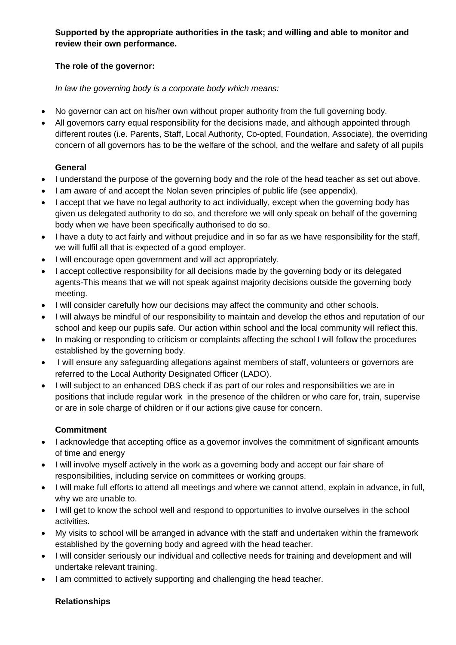**Supported by the appropriate authorities in the task; and willing and able to monitor and review their own performance.**

# **The role of the governor:**

*In law the governing body is a corporate body which means:*

- No governor can act on his/her own without proper authority from the full governing body.
- All governors carry equal responsibility for the decisions made, and although appointed through different routes (i.e. Parents, Staff, Local Authority, Co-opted, Foundation, Associate), the overriding concern of all governors has to be the welfare of the school, and the welfare and safety of all pupils

# **General**

- I understand the purpose of the governing body and the role of the head teacher as set out above.
- I am aware of and accept the Nolan seven principles of public life (see appendix).
- I accept that we have no legal authority to act individually, except when the governing body has given us delegated authority to do so, and therefore we will only speak on behalf of the governing body when we have been specifically authorised to do so.
- I have a duty to act fairly and without prejudice and in so far as we have responsibility for the staff, we will fulfil all that is expected of a good employer.
- I will encourage open government and will act appropriately.
- I accept collective responsibility for all decisions made by the governing body or its delegated agents-This means that we will not speak against majority decisions outside the governing body meeting.
- I will consider carefully how our decisions may affect the community and other schools.
- I will always be mindful of our responsibility to maintain and develop the ethos and reputation of our school and keep our pupils safe. Our action within school and the local community will reflect this.
- In making or responding to criticism or complaints affecting the school I will follow the procedures established by the governing body.
- I will ensure any safeguarding allegations against members of staff, volunteers or governors are referred to the Local Authority Designated Officer (LADO).
- I will subject to an enhanced DBS check if as part of our roles and responsibilities we are in positions that include regular work in the presence of the children or who care for, train, supervise or are in sole charge of children or if our actions give cause for concern.

# **Commitment**

- I acknowledge that accepting office as a governor involves the commitment of significant amounts of time and energy
- I will involve myself actively in the work as a governing body and accept our fair share of responsibilities, including service on committees or working groups.
- I will make full efforts to attend all meetings and where we cannot attend, explain in advance, in full, why we are unable to.
- I will get to know the school well and respond to opportunities to involve ourselves in the school activities.
- My visits to school will be arranged in advance with the staff and undertaken within the framework established by the governing body and agreed with the head teacher.
- I will consider seriously our individual and collective needs for training and development and will undertake relevant training.
- I am committed to actively supporting and challenging the head teacher.

# **Relationships**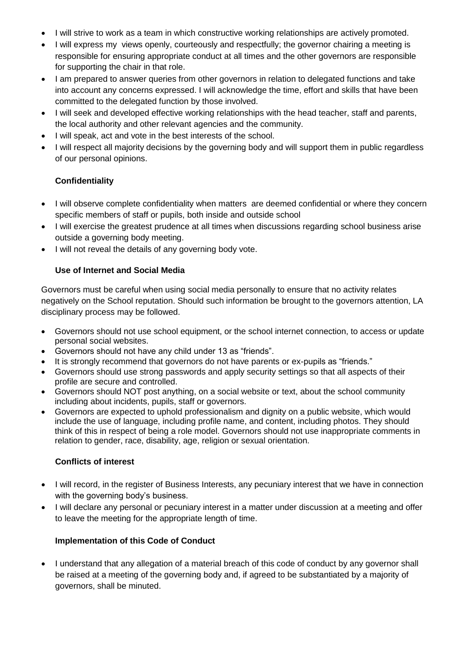- I will strive to work as a team in which constructive working relationships are actively promoted.
- I will express my views openly, courteously and respectfully; the governor chairing a meeting is responsible for ensuring appropriate conduct at all times and the other governors are responsible for supporting the chair in that role.
- I am prepared to answer queries from other governors in relation to delegated functions and take into account any concerns expressed. I will acknowledge the time, effort and skills that have been committed to the delegated function by those involved.
- I will seek and developed effective working relationships with the head teacher, staff and parents, the local authority and other relevant agencies and the community.
- I will speak, act and vote in the best interests of the school.
- I will respect all majority decisions by the governing body and will support them in public regardless of our personal opinions.

# **Confidentiality**

- I will observe complete confidentiality when matters are deemed confidential or where they concern specific members of staff or pupils, both inside and outside school
- I will exercise the greatest prudence at all times when discussions regarding school business arise outside a governing body meeting.
- I will not reveal the details of any governing body vote.

# **Use of Internet and Social Media**

Governors must be careful when using social media personally to ensure that no activity relates negatively on the School reputation. Should such information be brought to the governors attention, LA disciplinary process may be followed.

- Governors should not use school equipment, or the school internet connection, to access or update personal social websites.
- Governors should not have any child under 13 as "friends".
- It is strongly recommend that governors do not have parents or ex-pupils as "friends."
- Governors should use strong passwords and apply security settings so that all aspects of their profile are secure and controlled.
- Governors should NOT post anything, on a social website or text, about the school community including about incidents, pupils, staff or governors.
- Governors are expected to uphold professionalism and dignity on a public website, which would include the use of language, including profile name, and content, including photos. They should think of this in respect of being a role model. Governors should not use inappropriate comments in relation to gender, race, disability, age, religion or sexual orientation.

# **Conflicts of interest**

- I will record, in the register of Business Interests, any pecuniary interest that we have in connection with the governing body's business.
- I will declare any personal or pecuniary interest in a matter under discussion at a meeting and offer to leave the meeting for the appropriate length of time.

# **Implementation of this Code of Conduct**

• I understand that any allegation of a material breach of this code of conduct by any governor shall be raised at a meeting of the governing body and, if agreed to be substantiated by a majority of governors, shall be minuted.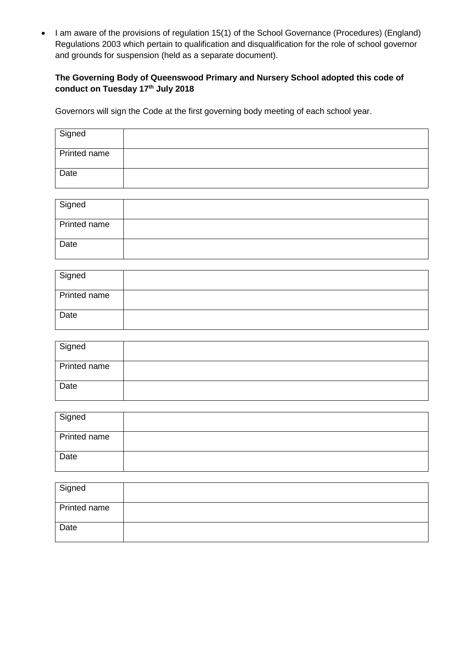• I am aware of the provisions of regulation 15(1) of the School Governance (Procedures) (England) Regulations 2003 which pertain to qualification and disqualification for the role of school governor and grounds for suspension (held as a separate document).

# **The Governing Body of Queenswood Primary and Nursery School adopted this code of conduct on Tuesday 17th July 2018**

Governors will sign the Code at the first governing body meeting of each school year.

| Signed       |  |
|--------------|--|
| Printed name |  |
| Date         |  |

| Signed       |  |
|--------------|--|
| Printed name |  |
| Date         |  |

| Signed       |  |
|--------------|--|
| Printed name |  |
| Date         |  |

| Signed       |  |
|--------------|--|
| Printed name |  |
| Date         |  |

| Signed       |  |
|--------------|--|
| Printed name |  |
| Date         |  |

| Signed       |  |
|--------------|--|
| Printed name |  |
| Date         |  |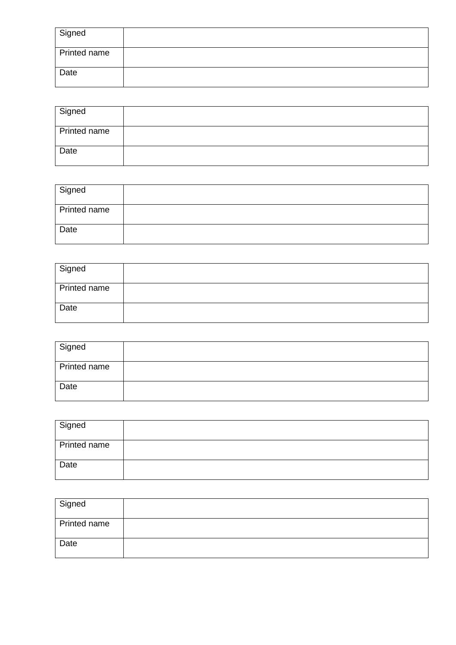| Signed       |  |
|--------------|--|
| Printed name |  |
| Date         |  |

| Signed       |  |
|--------------|--|
| Printed name |  |
| <b>Date</b>  |  |

| Signed       |  |
|--------------|--|
| Printed name |  |
| Date         |  |

| Signed       |  |
|--------------|--|
| Printed name |  |
| Date         |  |

| Signed       |  |
|--------------|--|
| Printed name |  |
| Date         |  |

| Signed       |  |
|--------------|--|
| Printed name |  |
| Date         |  |

| Signed       |  |
|--------------|--|
| Printed name |  |
| Date         |  |